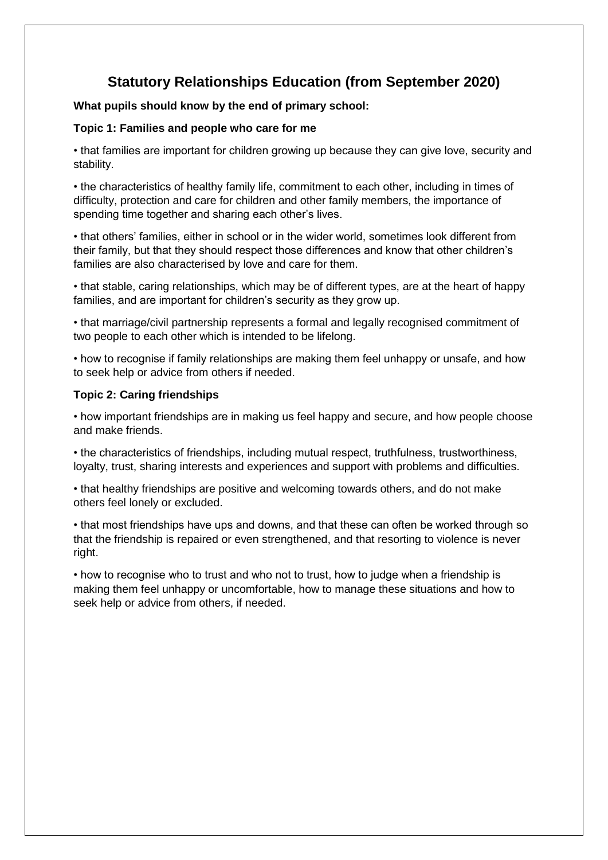# **Statutory Relationships Education (from September 2020)**

# **What pupils should know by the end of primary school:**

# **Topic 1: Families and people who care for me**

• that families are important for children growing up because they can give love, security and stability.

• the characteristics of healthy family life, commitment to each other, including in times of difficulty, protection and care for children and other family members, the importance of spending time together and sharing each other's lives.

• that others' families, either in school or in the wider world, sometimes look different from their family, but that they should respect those differences and know that other children's families are also characterised by love and care for them.

• that stable, caring relationships, which may be of different types, are at the heart of happy families, and are important for children's security as they grow up.

• that marriage/civil partnership represents a formal and legally recognised commitment of two people to each other which is intended to be lifelong.

• how to recognise if family relationships are making them feel unhappy or unsafe, and how to seek help or advice from others if needed.

### **Topic 2: Caring friendships**

• how important friendships are in making us feel happy and secure, and how people choose and make friends.

• the characteristics of friendships, including mutual respect, truthfulness, trustworthiness, loyalty, trust, sharing interests and experiences and support with problems and difficulties.

• that healthy friendships are positive and welcoming towards others, and do not make others feel lonely or excluded.

• that most friendships have ups and downs, and that these can often be worked through so that the friendship is repaired or even strengthened, and that resorting to violence is never right.

• how to recognise who to trust and who not to trust, how to judge when a friendship is making them feel unhappy or uncomfortable, how to manage these situations and how to seek help or advice from others, if needed.